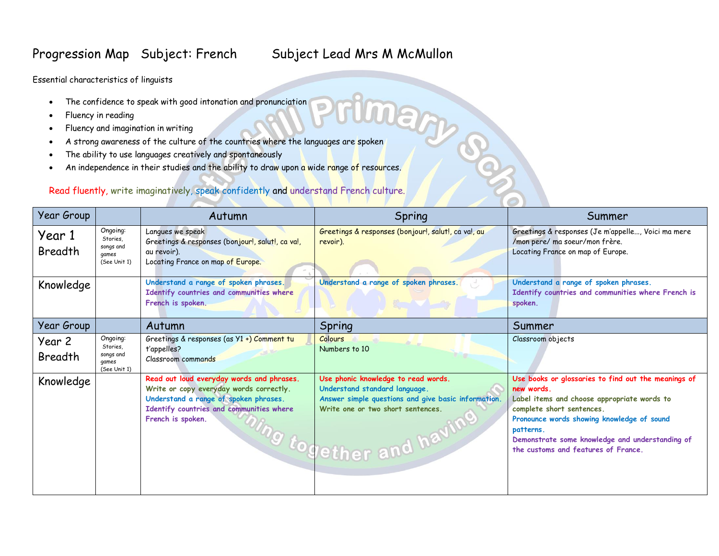## Progression Map Subject: French Subject Lead Mrs M McMullon

**ARGS** 

Essential characteristics of linguists

- The confidence to speak with good intonation and pronunciation
- Fluency in reading
- Fluency and imagination in writing
- A strong awareness of the culture of the countries where the languages are spoken
- The ability to use languages creatively and spontaneously
- An independence in their studies and the ability to draw upon a wide range of resources.

## Read fluently, write imaginatively, speak confidently and understand French culture.

| Year Group               |                                                            | Autumn                                                                                                                                                                                         | Spring                                                                                                                                                                                            | Summer                                                                                                                                                                                                                                                                                             |
|--------------------------|------------------------------------------------------------|------------------------------------------------------------------------------------------------------------------------------------------------------------------------------------------------|---------------------------------------------------------------------------------------------------------------------------------------------------------------------------------------------------|----------------------------------------------------------------------------------------------------------------------------------------------------------------------------------------------------------------------------------------------------------------------------------------------------|
| Year 1<br><b>Breadth</b> | Ongoing:<br>Stories,<br>songs and<br>games<br>(See Unit 1) | Langues we speak<br>Greetings & responses (bonjour!, salut!, ca va!,<br>au revoir).<br>Locating France on map of Europe.                                                                       | Greetings & responses (bonjour!, salut!, ca va!, au<br>revoir).                                                                                                                                   | Greetings & responses (Je m'appelle, Voici ma mere<br>/mon pere/ ma soeur/mon frère.<br>Locating France on map of Europe.                                                                                                                                                                          |
| Knowledge                |                                                            | Understand a range of spoken phrases.<br>Identify countries and communities where<br>French is spoken.                                                                                         | Understand a range of spoken phrases.                                                                                                                                                             | Understand a range of spoken phrases.<br>Identify countries and communities where French is<br>spoken.                                                                                                                                                                                             |
| Year Group               |                                                            | Autumn                                                                                                                                                                                         | Spring                                                                                                                                                                                            | Summer                                                                                                                                                                                                                                                                                             |
| Year 2<br>Breadth        | Ongoing:<br>Stories.<br>songs and<br>games<br>(See Unit 1) | Greetings & responses (as Y1 +) Comment tu<br>t'appelles?<br>Classroom commands                                                                                                                | Colours<br>Numbers to 10                                                                                                                                                                          | Classroom objects                                                                                                                                                                                                                                                                                  |
| Knowledge                |                                                            | Read out loud everyday words and phrases.<br>Write or copy everyday words correctly.<br>Understand a range of spoken phrases.<br>Identify countries and communities where<br>French is spoken. | Use phonic knowledge to read words.<br>Understand standard language.<br>Answer simple questions and give basic information.<br>Write one or two short sentences.<br><i>ung together and havin</i> | Use books or glossaries to find out the meanings of<br>new words.<br>Label items and choose appropriate words to<br>complete short sentences.<br>Pronounce words showing knowledge of sound<br>patterns.<br>Demonstrate some knowledge and understanding of<br>the customs and features of France. |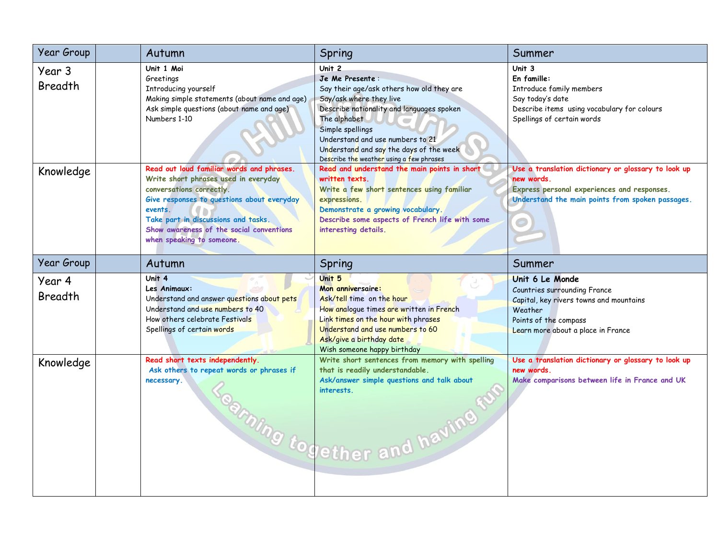| Year Group               | Autumn                                                                                                                                                                                                                                                                                 | Spring                                                                                                                                                                                                                                                                                                        | Summer                                                                                                                                                               |
|--------------------------|----------------------------------------------------------------------------------------------------------------------------------------------------------------------------------------------------------------------------------------------------------------------------------------|---------------------------------------------------------------------------------------------------------------------------------------------------------------------------------------------------------------------------------------------------------------------------------------------------------------|----------------------------------------------------------------------------------------------------------------------------------------------------------------------|
| Year 3<br><b>Breadth</b> | Unit 1 Moi<br>Greetings<br>Introducing yourself<br>Making simple statements (about name and age)<br>Ask simple questions (about name and age)<br>Numbers 1-10                                                                                                                          | Unit 2<br>Je Me Presente:<br>Say their age/ask others how old they are<br>Say/ask where they live<br>Describe nationality and languages spoken<br>The alphabet<br>Simple spellings<br>Understand and use numbers to 21<br>Understand and say the days of the week<br>Describe the weather using a few phrases | Unit 3<br>En famille:<br>Introduce family members<br>Say today's date<br>Describe items using vocabulary for colours<br>Spellings of certain words                   |
| Knowledge                | Read out loud familiar words and phrases.<br>Write short phrases used in everyday<br>conversations correctly.<br>Give responses to questions about everyday<br>events.<br>Take part in discussions and tasks.<br>Show awareness of the social conventions<br>when speaking to someone. | Read and understand the main points in short<br>written texts.<br>Write a few short sentences using familiar<br>expressions.<br>Demonstrate a growing vocabulary.<br>Describe some aspects of French life with some<br>interesting details.                                                                   | Use a translation dictionary or glossary to look up<br>new words.<br>Express personal experiences and responses.<br>Understand the main points from spoken passages. |
| Year Group               | Autumn                                                                                                                                                                                                                                                                                 | Spring                                                                                                                                                                                                                                                                                                        | Summer                                                                                                                                                               |
| Year 4<br><b>Breadth</b> | Unit 4<br>Les Animaux:                                                                                                                                                                                                                                                                 | Unit 5<br>Mon anniversaire:                                                                                                                                                                                                                                                                                   | Unit 6 Le Monde<br>Countries surrounding France                                                                                                                      |
|                          | Understand and answer questions about pets<br>Understand and use numbers to 40<br>How others celebrate Festivals<br>Spellings of certain words                                                                                                                                         | Ask/tell time on the hour<br>How analogue times are written in French<br>Link times on the hour with phrases<br>Understand and use numbers to 60<br>Ask/give a birthday date<br>Wish someone happy birthday                                                                                                   | Capital, key rivers towns and mountains<br>Weather<br>Points of the compass<br>Learn more about a place in France                                                    |